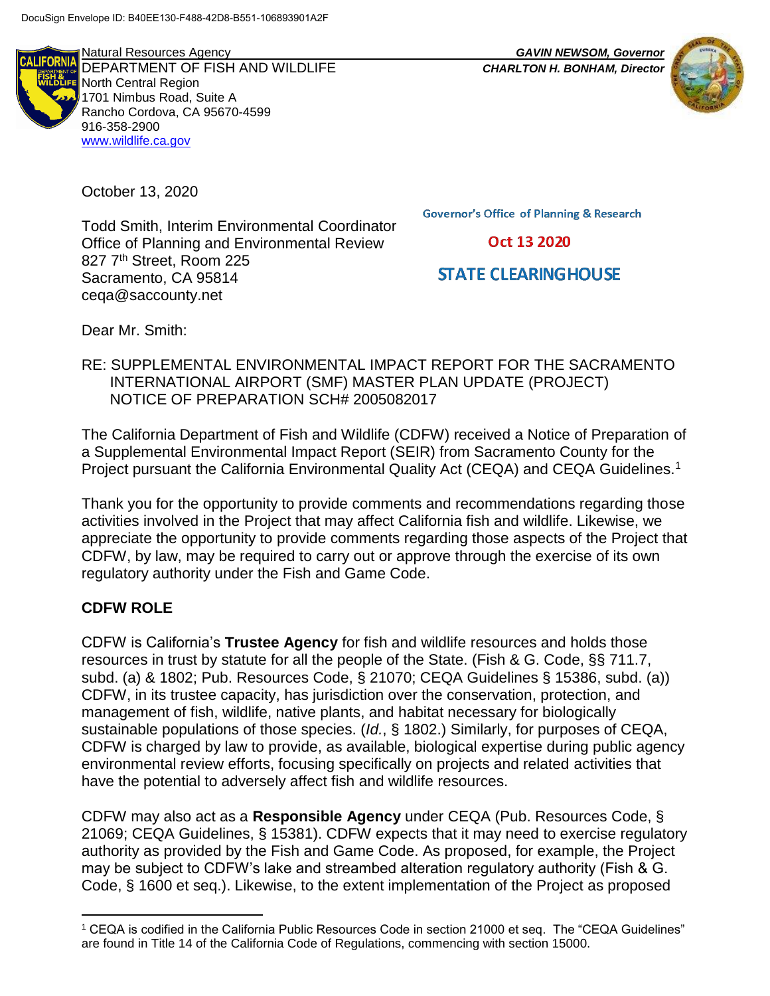**FORNI** 

Natural Resources Agency *GAVIN NEWSOM, Governor* DEPARTMENT OF FISH AND WILDLIFE *CHARLTON H. BONHAM, Director* North Central Region 1701 Nimbus Road, Suite A Rancho Cordova, CA 95670-4599 916-358-2900 [www.wildlife.ca.gov](http://www.wildlife.ca.gov/)

October 13, 2020

Todd Smith, Interim Environmental Coordinator Office of Planning and Environmental Review 827 7<sup>th</sup> Street, Room 225 Sacramento, CA 95814 ceqa@saccounty.net

**Governor's Office of Planning & Research** 

Oct 13 2020

# **STATE CLEARING HOUSE**

Dear Mr. Smith:

#### RE: SUPPLEMENTAL ENVIRONMENTAL IMPACT REPORT FOR THE SACRAMENTO INTERNATIONAL AIRPORT (SMF) MASTER PLAN UPDATE (PROJECT) NOTICE OF PREPARATION SCH# 2005082017

The California Department of Fish and Wildlife (CDFW) received a Notice of Preparation of a Supplemental Environmental Impact Report (SEIR) from Sacramento County for the Project pursuant the California Environmental Quality Act (CEQA) and CEQA Guidelines.<sup>1</sup>

Thank you for the opportunity to provide comments and recommendations regarding those activities involved in the Project that may affect California fish and wildlife. Likewise, we appreciate the opportunity to provide comments regarding those aspects of the Project that CDFW, by law, may be required to carry out or approve through the exercise of its own regulatory authority under the Fish and Game Code.

#### **CDFW ROLE**

CDFW is California's **Trustee Agency** for fish and wildlife resources and holds those resources in trust by statute for all the people of the State. (Fish & G. Code, §§ 711.7, subd. (a) & 1802; Pub. Resources Code, § 21070; CEQA Guidelines § 15386, subd. (a)) CDFW, in its trustee capacity, has jurisdiction over the conservation, protection, and management of fish, wildlife, native plants, and habitat necessary for biologically sustainable populations of those species. (*Id.*, § 1802.) Similarly, for purposes of CEQA, CDFW is charged by law to provide, as available, biological expertise during public agency environmental review efforts, focusing specifically on projects and related activities that have the potential to adversely affect fish and wildlife resources.

CDFW may also act as a **Responsible Agency** under CEQA (Pub. Resources Code, § 21069; CEQA Guidelines, § 15381). CDFW expects that it may need to exercise regulatory authority as provided by the Fish and Game Code. As proposed, for example, the Project may be subject to CDFW's lake and streambed alteration regulatory authority (Fish & G. Code, § 1600 et seq.). Likewise, to the extent implementation of the Project as proposed

l <sup>1</sup> CEQA is codified in the California Public Resources Code in section 21000 et seq. The "CEQA Guidelines" are found in Title 14 of the California Code of Regulations, commencing with section 15000.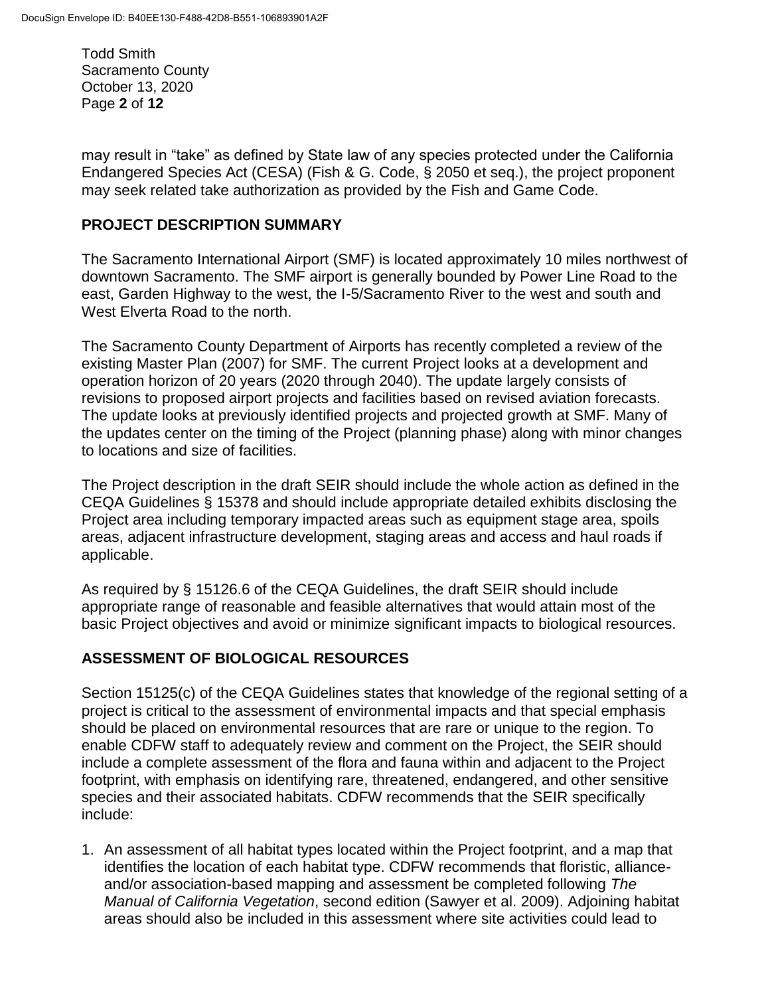Todd Smith Sacramento County October 13, 2020 Page **2** of **12**

may result in "take" as defined by State law of any species protected under the California Endangered Species Act (CESA) (Fish & G. Code, § 2050 et seq.), the project proponent may seek related take authorization as provided by the Fish and Game Code.

#### **PROJECT DESCRIPTION SUMMARY**

The Sacramento International Airport (SMF) is located approximately 10 miles northwest of downtown Sacramento. The SMF airport is generally bounded by Power Line Road to the east, Garden Highway to the west, the I-5/Sacramento River to the west and south and West Elverta Road to the north.

The Sacramento County Department of Airports has recently completed a review of the existing Master Plan (2007) for SMF. The current Project looks at a development and operation horizon of 20 years (2020 through 2040). The update largely consists of revisions to proposed airport projects and facilities based on revised aviation forecasts. The update looks at previously identified projects and projected growth at SMF. Many of the updates center on the timing of the Project (planning phase) along with minor changes to locations and size of facilities.

The Project description in the draft SEIR should include the whole action as defined in the CEQA Guidelines § 15378 and should include appropriate detailed exhibits disclosing the Project area including temporary impacted areas such as equipment stage area, spoils areas, adjacent infrastructure development, staging areas and access and haul roads if applicable.

As required by § 15126.6 of the CEQA Guidelines, the draft SEIR should include appropriate range of reasonable and feasible alternatives that would attain most of the basic Project objectives and avoid or minimize significant impacts to biological resources.

### **ASSESSMENT OF BIOLOGICAL RESOURCES**

Section 15125(c) of the CEQA Guidelines states that knowledge of the regional setting of a project is critical to the assessment of environmental impacts and that special emphasis should be placed on environmental resources that are rare or unique to the region. To enable CDFW staff to adequately review and comment on the Project, the SEIR should include a complete assessment of the flora and fauna within and adjacent to the Project footprint, with emphasis on identifying rare, threatened, endangered, and other sensitive species and their associated habitats. CDFW recommends that the SEIR specifically include:

1. An assessment of all habitat types located within the Project footprint, and a map that identifies the location of each habitat type. CDFW recommends that floristic, allianceand/or association-based mapping and assessment be completed following *The Manual of California Vegetation*, second edition (Sawyer et al. 2009). Adjoining habitat areas should also be included in this assessment where site activities could lead to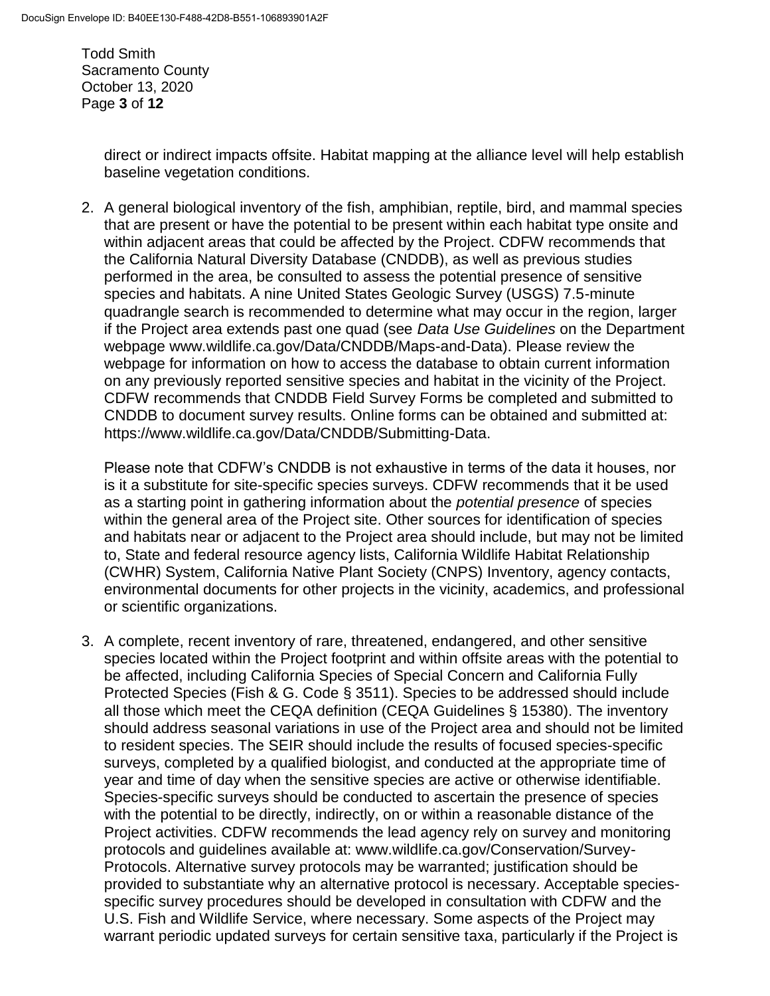Todd Smith Sacramento County October 13, 2020 Page **3** of **12**

> direct or indirect impacts offsite. Habitat mapping at the alliance level will help establish baseline vegetation conditions.

2. A general biological inventory of the fish, amphibian, reptile, bird, and mammal species that are present or have the potential to be present within each habitat type onsite and within adjacent areas that could be affected by the Project. CDFW recommends that the California Natural Diversity Database (CNDDB), as well as previous studies performed in the area, be consulted to assess the potential presence of sensitive species and habitats. A nine United States Geologic Survey (USGS) 7.5-minute quadrangle search is recommended to determine what may occur in the region, larger if the Project area extends past one quad (see *Data Use Guidelines* on the Department webpage www.wildlife.ca.gov/Data/CNDDB/Maps-and-Data). Please review the webpage for information on how to access the database to obtain current information on any previously reported sensitive species and habitat in the vicinity of the Project. CDFW recommends that CNDDB Field Survey Forms be completed and submitted to CNDDB to document survey results. Online forms can be obtained and submitted at: https://www.wildlife.ca.gov/Data/CNDDB/Submitting-Data.

Please note that CDFW's CNDDB is not exhaustive in terms of the data it houses, nor is it a substitute for site-specific species surveys. CDFW recommends that it be used as a starting point in gathering information about the *potential presence* of species within the general area of the Project site. Other sources for identification of species and habitats near or adjacent to the Project area should include, but may not be limited to, State and federal resource agency lists, California Wildlife Habitat Relationship (CWHR) System, California Native Plant Society (CNPS) Inventory, agency contacts, environmental documents for other projects in the vicinity, academics, and professional or scientific organizations.

3. A complete, recent inventory of rare, threatened, endangered, and other sensitive species located within the Project footprint and within offsite areas with the potential to be affected, including California Species of Special Concern and California Fully Protected Species (Fish & G. Code § 3511). Species to be addressed should include all those which meet the CEQA definition (CEQA Guidelines § 15380). The inventory should address seasonal variations in use of the Project area and should not be limited to resident species. The SEIR should include the results of focused species-specific surveys, completed by a qualified biologist, and conducted at the appropriate time of year and time of day when the sensitive species are active or otherwise identifiable. Species-specific surveys should be conducted to ascertain the presence of species with the potential to be directly, indirectly, on or within a reasonable distance of the Project activities. CDFW recommends the lead agency rely on survey and monitoring protocols and guidelines available at: www.wildlife.ca.gov/Conservation/Survey-Protocols. Alternative survey protocols may be warranted; justification should be provided to substantiate why an alternative protocol is necessary. Acceptable speciesspecific survey procedures should be developed in consultation with CDFW and the U.S. Fish and Wildlife Service, where necessary. Some aspects of the Project may warrant periodic updated surveys for certain sensitive taxa, particularly if the Project is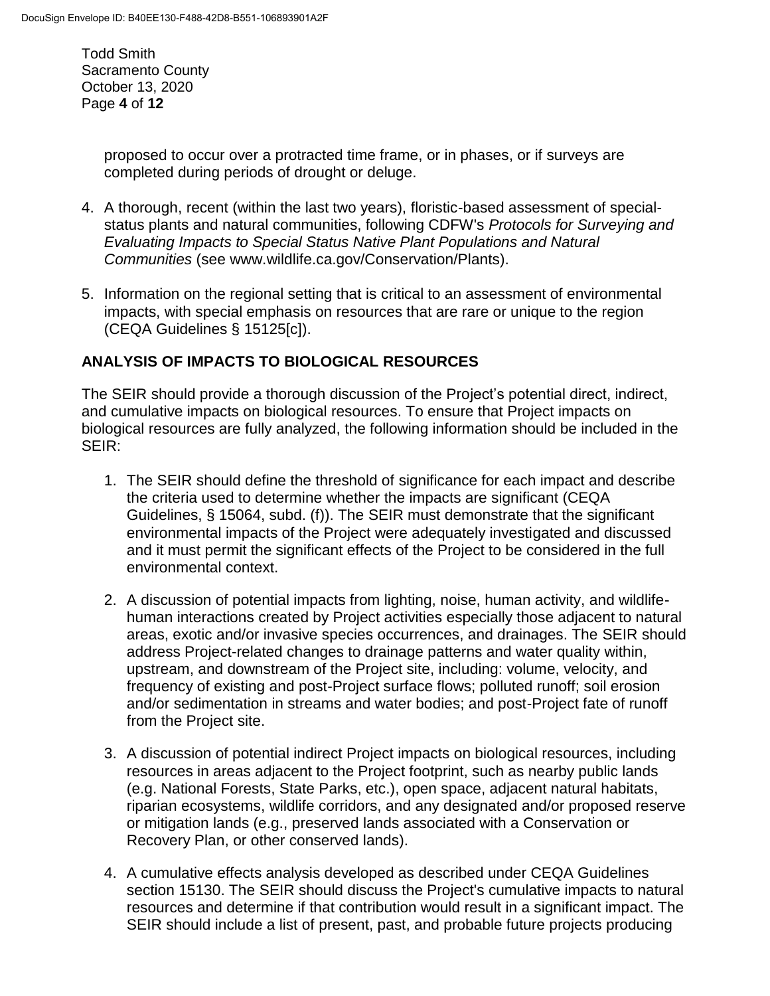Todd Smith Sacramento County October 13, 2020 Page **4** of **12**

> proposed to occur over a protracted time frame, or in phases, or if surveys are completed during periods of drought or deluge.

- 4. A thorough, recent (within the last two years), floristic-based assessment of specialstatus plants and natural communities, following CDFW's *Protocols for Surveying and Evaluating Impacts to Special Status Native Plant Populations and Natural Communities* (see www.wildlife.ca.gov/Conservation/Plants).
- 5. Information on the regional setting that is critical to an assessment of environmental impacts, with special emphasis on resources that are rare or unique to the region (CEQA Guidelines § 15125[c]).

#### **ANALYSIS OF IMPACTS TO BIOLOGICAL RESOURCES**

The SEIR should provide a thorough discussion of the Project's potential direct, indirect, and cumulative impacts on biological resources. To ensure that Project impacts on biological resources are fully analyzed, the following information should be included in the SEIR:

- 1. The SEIR should define the threshold of significance for each impact and describe the criteria used to determine whether the impacts are significant (CEQA Guidelines, § 15064, subd. (f)). The SEIR must demonstrate that the significant environmental impacts of the Project were adequately investigated and discussed and it must permit the significant effects of the Project to be considered in the full environmental context.
- 2. A discussion of potential impacts from lighting, noise, human activity, and wildlifehuman interactions created by Project activities especially those adjacent to natural areas, exotic and/or invasive species occurrences, and drainages. The SEIR should address Project-related changes to drainage patterns and water quality within, upstream, and downstream of the Project site, including: volume, velocity, and frequency of existing and post-Project surface flows; polluted runoff; soil erosion and/or sedimentation in streams and water bodies; and post-Project fate of runoff from the Project site.
- 3. A discussion of potential indirect Project impacts on biological resources, including resources in areas adjacent to the Project footprint, such as nearby public lands (e.g. National Forests, State Parks, etc.), open space, adjacent natural habitats, riparian ecosystems, wildlife corridors, and any designated and/or proposed reserve or mitigation lands (e.g., preserved lands associated with a Conservation or Recovery Plan, or other conserved lands).
- 4. A cumulative effects analysis developed as described under CEQA Guidelines section 15130. The SEIR should discuss the Project's cumulative impacts to natural resources and determine if that contribution would result in a significant impact. The SEIR should include a list of present, past, and probable future projects producing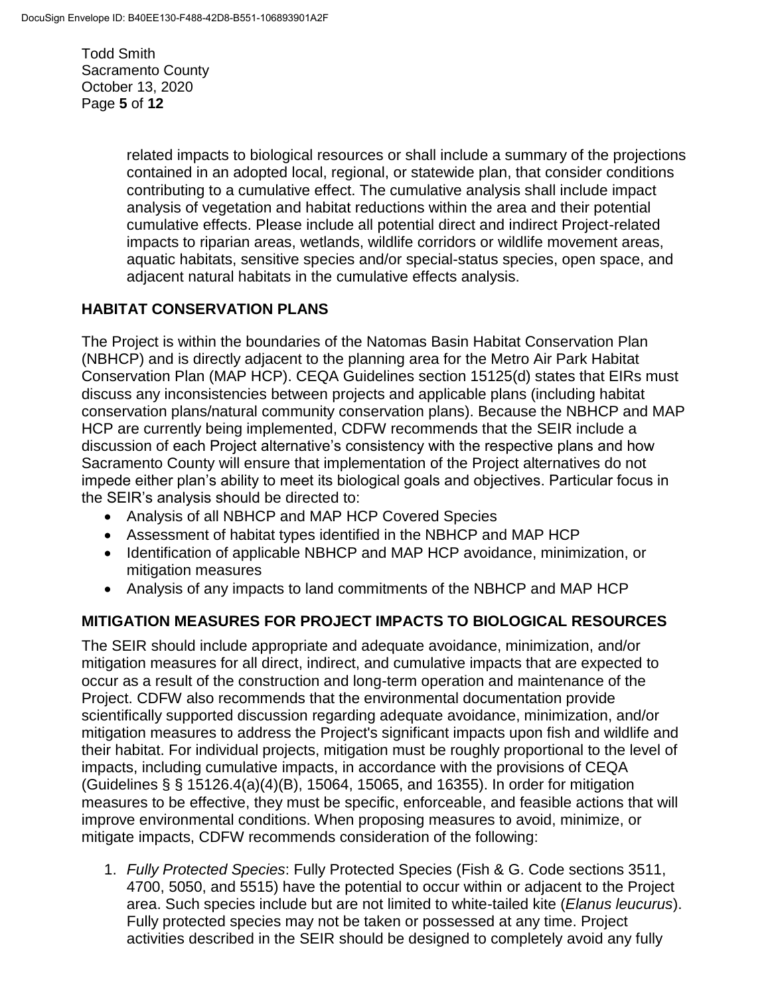Todd Smith Sacramento County October 13, 2020 Page **5** of **12**

> related impacts to biological resources or shall include a summary of the projections contained in an adopted local, regional, or statewide plan, that consider conditions contributing to a cumulative effect. The cumulative analysis shall include impact analysis of vegetation and habitat reductions within the area and their potential cumulative effects. Please include all potential direct and indirect Project-related impacts to riparian areas, wetlands, wildlife corridors or wildlife movement areas, aquatic habitats, sensitive species and/or special-status species, open space, and adjacent natural habitats in the cumulative effects analysis.

### **HABITAT CONSERVATION PLANS**

The Project is within the boundaries of the Natomas Basin Habitat Conservation Plan (NBHCP) and is directly adjacent to the planning area for the Metro Air Park Habitat Conservation Plan (MAP HCP). CEQA Guidelines section 15125(d) states that EIRs must discuss any inconsistencies between projects and applicable plans (including habitat conservation plans/natural community conservation plans). Because the NBHCP and MAP HCP are currently being implemented, CDFW recommends that the SEIR include a discussion of each Project alternative's consistency with the respective plans and how Sacramento County will ensure that implementation of the Project alternatives do not impede either plan's ability to meet its biological goals and objectives. Particular focus in the SEIR's analysis should be directed to:

- Analysis of all NBHCP and MAP HCP Covered Species
- Assessment of habitat types identified in the NBHCP and MAP HCP
- Identification of applicable NBHCP and MAP HCP avoidance, minimization, or mitigation measures
- Analysis of any impacts to land commitments of the NBHCP and MAP HCP

### **MITIGATION MEASURES FOR PROJECT IMPACTS TO BIOLOGICAL RESOURCES**

The SEIR should include appropriate and adequate avoidance, minimization, and/or mitigation measures for all direct, indirect, and cumulative impacts that are expected to occur as a result of the construction and long-term operation and maintenance of the Project. CDFW also recommends that the environmental documentation provide scientifically supported discussion regarding adequate avoidance, minimization, and/or mitigation measures to address the Project's significant impacts upon fish and wildlife and their habitat. For individual projects, mitigation must be roughly proportional to the level of impacts, including cumulative impacts, in accordance with the provisions of CEQA (Guidelines § § 15126.4(a)(4)(B), 15064, 15065, and 16355). In order for mitigation measures to be effective, they must be specific, enforceable, and feasible actions that will improve environmental conditions. When proposing measures to avoid, minimize, or mitigate impacts, CDFW recommends consideration of the following:

1. *Fully Protected Species*: Fully Protected Species (Fish & G. Code sections 3511, 4700, 5050, and 5515) have the potential to occur within or adjacent to the Project area. Such species include but are not limited to white-tailed kite (*Elanus leucurus*). Fully protected species may not be taken or possessed at any time. Project activities described in the SEIR should be designed to completely avoid any fully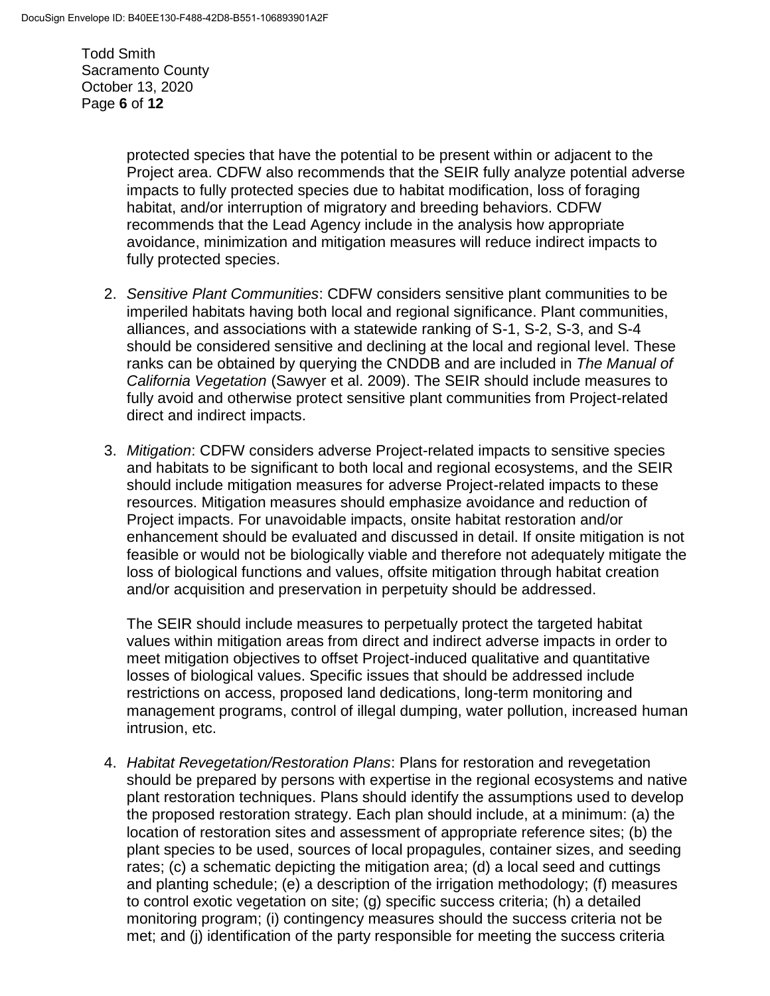Todd Smith Sacramento County October 13, 2020 Page **6** of **12**

> protected species that have the potential to be present within or adjacent to the Project area. CDFW also recommends that the SEIR fully analyze potential adverse impacts to fully protected species due to habitat modification, loss of foraging habitat, and/or interruption of migratory and breeding behaviors. CDFW recommends that the Lead Agency include in the analysis how appropriate avoidance, minimization and mitigation measures will reduce indirect impacts to fully protected species.

- 2. *Sensitive Plant Communities*: CDFW considers sensitive plant communities to be imperiled habitats having both local and regional significance. Plant communities, alliances, and associations with a statewide ranking of S-1, S-2, S-3, and S-4 should be considered sensitive and declining at the local and regional level. These ranks can be obtained by querying the CNDDB and are included in *The Manual of California Vegetation* (Sawyer et al. 2009). The SEIR should include measures to fully avoid and otherwise protect sensitive plant communities from Project-related direct and indirect impacts.
- 3. *Mitigation*: CDFW considers adverse Project-related impacts to sensitive species and habitats to be significant to both local and regional ecosystems, and the SEIR should include mitigation measures for adverse Project-related impacts to these resources. Mitigation measures should emphasize avoidance and reduction of Project impacts. For unavoidable impacts, onsite habitat restoration and/or enhancement should be evaluated and discussed in detail. If onsite mitigation is not feasible or would not be biologically viable and therefore not adequately mitigate the loss of biological functions and values, offsite mitigation through habitat creation and/or acquisition and preservation in perpetuity should be addressed.

The SEIR should include measures to perpetually protect the targeted habitat values within mitigation areas from direct and indirect adverse impacts in order to meet mitigation objectives to offset Project-induced qualitative and quantitative losses of biological values. Specific issues that should be addressed include restrictions on access, proposed land dedications, long-term monitoring and management programs, control of illegal dumping, water pollution, increased human intrusion, etc.

4. *Habitat Revegetation/Restoration Plans*: Plans for restoration and revegetation should be prepared by persons with expertise in the regional ecosystems and native plant restoration techniques. Plans should identify the assumptions used to develop the proposed restoration strategy. Each plan should include, at a minimum: (a) the location of restoration sites and assessment of appropriate reference sites; (b) the plant species to be used, sources of local propagules, container sizes, and seeding rates; (c) a schematic depicting the mitigation area; (d) a local seed and cuttings and planting schedule; (e) a description of the irrigation methodology; (f) measures to control exotic vegetation on site; (g) specific success criteria; (h) a detailed monitoring program; (i) contingency measures should the success criteria not be met; and (j) identification of the party responsible for meeting the success criteria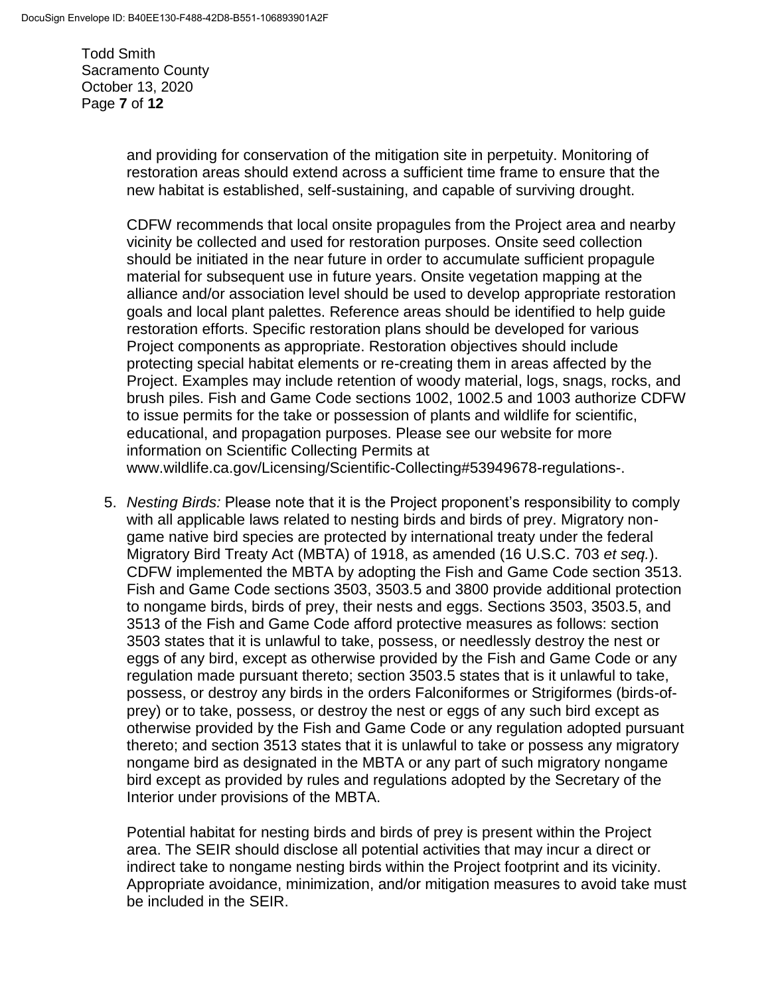Todd Smith Sacramento County October 13, 2020 Page **7** of **12**

> and providing for conservation of the mitigation site in perpetuity. Monitoring of restoration areas should extend across a sufficient time frame to ensure that the new habitat is established, self-sustaining, and capable of surviving drought.

CDFW recommends that local onsite propagules from the Project area and nearby vicinity be collected and used for restoration purposes. Onsite seed collection should be initiated in the near future in order to accumulate sufficient propagule material for subsequent use in future years. Onsite vegetation mapping at the alliance and/or association level should be used to develop appropriate restoration goals and local plant palettes. Reference areas should be identified to help guide restoration efforts. Specific restoration plans should be developed for various Project components as appropriate. Restoration objectives should include protecting special habitat elements or re-creating them in areas affected by the Project. Examples may include retention of woody material, logs, snags, rocks, and brush piles. Fish and Game Code sections 1002, 1002.5 and 1003 authorize CDFW to issue permits for the take or possession of plants and wildlife for scientific, educational, and propagation purposes. Please see our website for more information on Scientific Collecting Permits at www.wildlife.ca.gov/Licensing/Scientific-Collecting#53949678-regulations-.

5. *Nesting Birds:* Please note that it is the Project proponent's responsibility to comply with all applicable laws related to nesting birds and birds of prey. Migratory nongame native bird species are protected by international treaty under the federal Migratory Bird Treaty Act (MBTA) of 1918, as amended (16 U.S.C. 703 *et seq.*). CDFW implemented the MBTA by adopting the Fish and Game Code section 3513. Fish and Game Code sections 3503, 3503.5 and 3800 provide additional protection to nongame birds, birds of prey, their nests and eggs. Sections 3503, 3503.5, and 3513 of the Fish and Game Code afford protective measures as follows: section 3503 states that it is unlawful to take, possess, or needlessly destroy the nest or eggs of any bird, except as otherwise provided by the Fish and Game Code or any regulation made pursuant thereto; section 3503.5 states that is it unlawful to take, possess, or destroy any birds in the orders Falconiformes or Strigiformes (birds-ofprey) or to take, possess, or destroy the nest or eggs of any such bird except as otherwise provided by the Fish and Game Code or any regulation adopted pursuant thereto; and section 3513 states that it is unlawful to take or possess any migratory nongame bird as designated in the MBTA or any part of such migratory nongame bird except as provided by rules and regulations adopted by the Secretary of the Interior under provisions of the MBTA.

Potential habitat for nesting birds and birds of prey is present within the Project area. The SEIR should disclose all potential activities that may incur a direct or indirect take to nongame nesting birds within the Project footprint and its vicinity. Appropriate avoidance, minimization, and/or mitigation measures to avoid take must be included in the SEIR.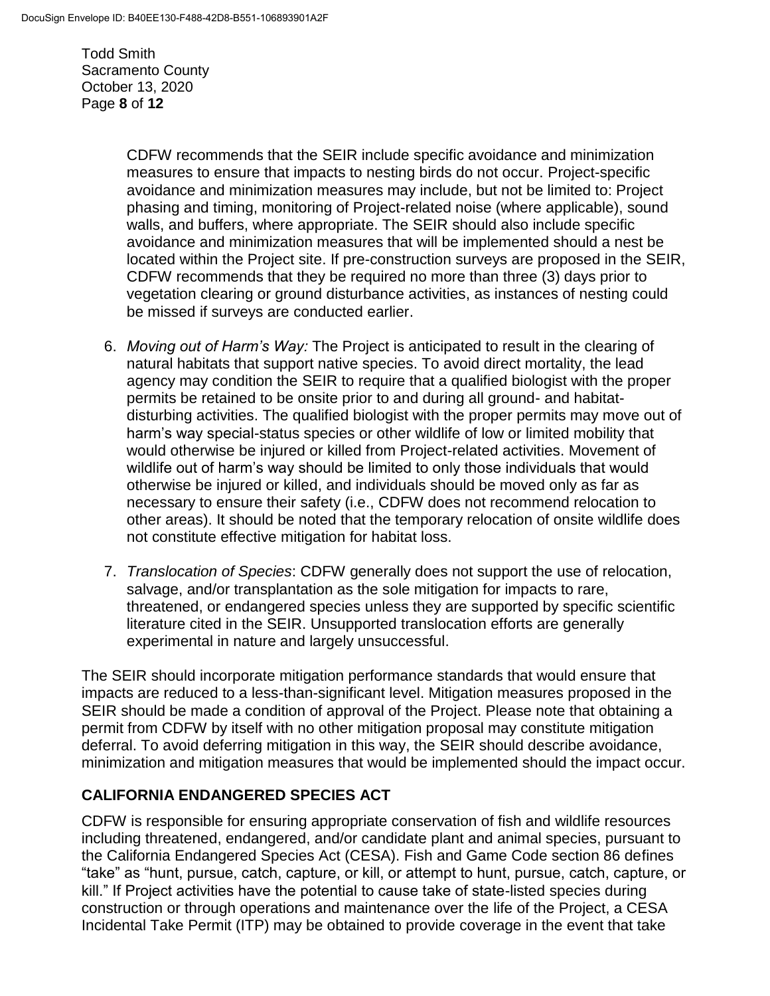Todd Smith Sacramento County October 13, 2020 Page **8** of **12**

> CDFW recommends that the SEIR include specific avoidance and minimization measures to ensure that impacts to nesting birds do not occur. Project-specific avoidance and minimization measures may include, but not be limited to: Project phasing and timing, monitoring of Project-related noise (where applicable), sound walls, and buffers, where appropriate. The SEIR should also include specific avoidance and minimization measures that will be implemented should a nest be located within the Project site. If pre-construction surveys are proposed in the SEIR, CDFW recommends that they be required no more than three (3) days prior to vegetation clearing or ground disturbance activities, as instances of nesting could be missed if surveys are conducted earlier.

- 6. *Moving out of Harm's Way:* The Project is anticipated to result in the clearing of natural habitats that support native species. To avoid direct mortality, the lead agency may condition the SEIR to require that a qualified biologist with the proper permits be retained to be onsite prior to and during all ground- and habitatdisturbing activities. The qualified biologist with the proper permits may move out of harm's way special-status species or other wildlife of low or limited mobility that would otherwise be injured or killed from Project-related activities. Movement of wildlife out of harm's way should be limited to only those individuals that would otherwise be injured or killed, and individuals should be moved only as far as necessary to ensure their safety (i.e., CDFW does not recommend relocation to other areas). It should be noted that the temporary relocation of onsite wildlife does not constitute effective mitigation for habitat loss.
- 7. *Translocation of Species*: CDFW generally does not support the use of relocation, salvage, and/or transplantation as the sole mitigation for impacts to rare, threatened, or endangered species unless they are supported by specific scientific literature cited in the SEIR. Unsupported translocation efforts are generally experimental in nature and largely unsuccessful.

The SEIR should incorporate mitigation performance standards that would ensure that impacts are reduced to a less-than-significant level. Mitigation measures proposed in the SEIR should be made a condition of approval of the Project. Please note that obtaining a permit from CDFW by itself with no other mitigation proposal may constitute mitigation deferral. To avoid deferring mitigation in this way, the SEIR should describe avoidance, minimization and mitigation measures that would be implemented should the impact occur.

### **CALIFORNIA ENDANGERED SPECIES ACT**

CDFW is responsible for ensuring appropriate conservation of fish and wildlife resources including threatened, endangered, and/or candidate plant and animal species, pursuant to the California Endangered Species Act (CESA). Fish and Game Code section 86 defines "take" as "hunt, pursue, catch, capture, or kill, or attempt to hunt, pursue, catch, capture, or kill." If Project activities have the potential to cause take of state-listed species during construction or through operations and maintenance over the life of the Project, a CESA Incidental Take Permit (ITP) may be obtained to provide coverage in the event that take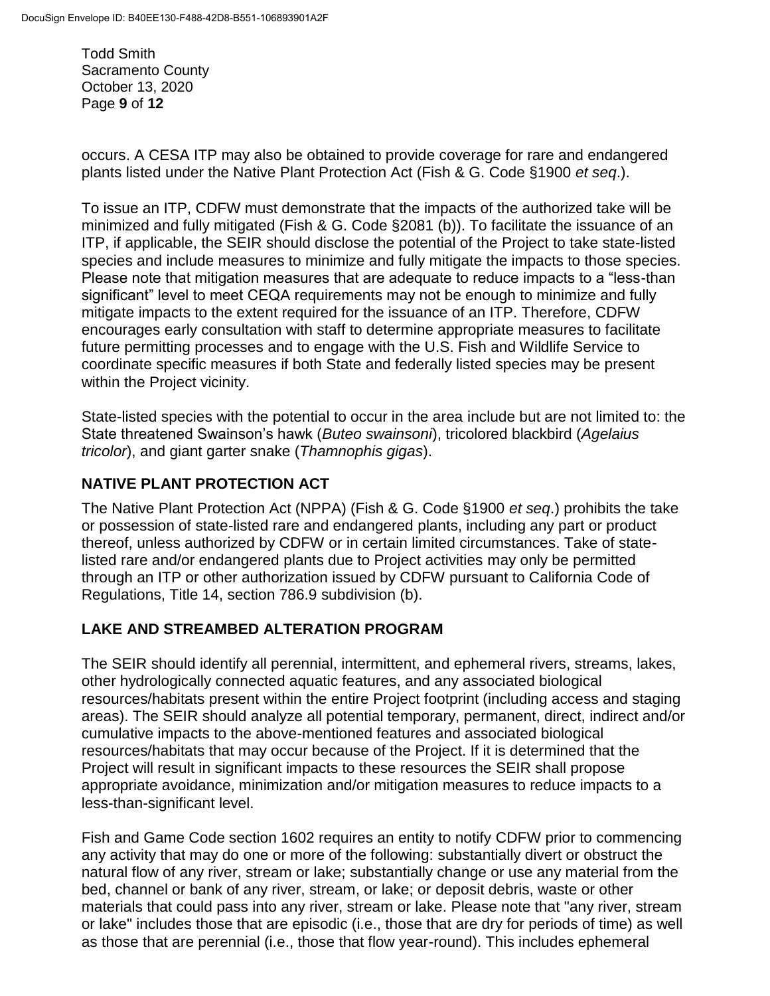Todd Smith Sacramento County October 13, 2020 Page **9** of **12**

occurs. A CESA ITP may also be obtained to provide coverage for rare and endangered plants listed under the Native Plant Protection Act (Fish & G. Code §1900 *et seq*.).

To issue an ITP, CDFW must demonstrate that the impacts of the authorized take will be minimized and fully mitigated (Fish & G. Code §2081 (b)). To facilitate the issuance of an ITP, if applicable, the SEIR should disclose the potential of the Project to take state-listed species and include measures to minimize and fully mitigate the impacts to those species. Please note that mitigation measures that are adequate to reduce impacts to a "less-than significant" level to meet CEQA requirements may not be enough to minimize and fully mitigate impacts to the extent required for the issuance of an ITP. Therefore, CDFW encourages early consultation with staff to determine appropriate measures to facilitate future permitting processes and to engage with the U.S. Fish and Wildlife Service to coordinate specific measures if both State and federally listed species may be present within the Project vicinity.

State-listed species with the potential to occur in the area include but are not limited to: the State threatened Swainson's hawk (*Buteo swainsoni*), tricolored blackbird (*Agelaius tricolor*), and giant garter snake (*Thamnophis gigas*).

## **NATIVE PLANT PROTECTION ACT**

The Native Plant Protection Act (NPPA) (Fish & G. Code §1900 *et seq*.) prohibits the take or possession of state-listed rare and endangered plants, including any part or product thereof, unless authorized by CDFW or in certain limited circumstances. Take of statelisted rare and/or endangered plants due to Project activities may only be permitted through an ITP or other authorization issued by CDFW pursuant to California Code of Regulations, Title 14, section 786.9 subdivision (b).

### **LAKE AND STREAMBED ALTERATION PROGRAM**

The SEIR should identify all perennial, intermittent, and ephemeral rivers, streams, lakes, other hydrologically connected aquatic features, and any associated biological resources/habitats present within the entire Project footprint (including access and staging areas). The SEIR should analyze all potential temporary, permanent, direct, indirect and/or cumulative impacts to the above-mentioned features and associated biological resources/habitats that may occur because of the Project. If it is determined that the Project will result in significant impacts to these resources the SEIR shall propose appropriate avoidance, minimization and/or mitigation measures to reduce impacts to a less-than-significant level.

Fish and Game Code section 1602 requires an entity to notify CDFW prior to commencing any activity that may do one or more of the following: substantially divert or obstruct the natural flow of any river, stream or lake; substantially change or use any material from the bed, channel or bank of any river, stream, or lake; or deposit debris, waste or other materials that could pass into any river, stream or lake. Please note that "any river, stream or lake" includes those that are episodic (i.e., those that are dry for periods of time) as well as those that are perennial (i.e., those that flow year-round). This includes ephemeral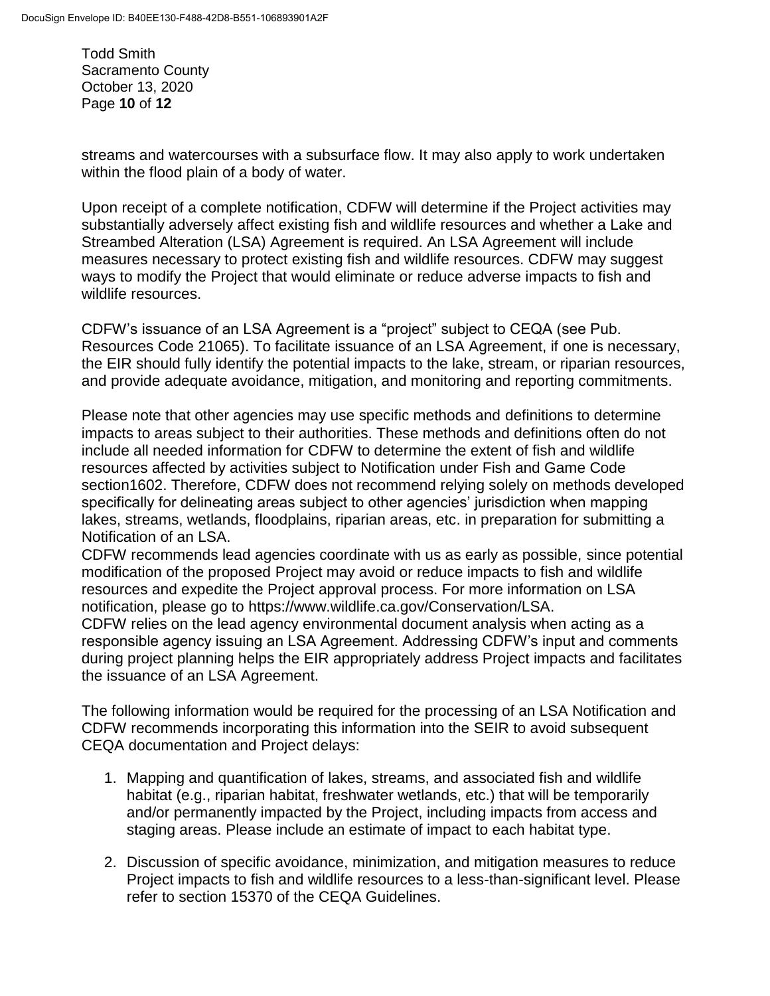Todd Smith Sacramento County October 13, 2020 Page **10** of **12**

streams and watercourses with a subsurface flow. It may also apply to work undertaken within the flood plain of a body of water.

Upon receipt of a complete notification, CDFW will determine if the Project activities may substantially adversely affect existing fish and wildlife resources and whether a Lake and Streambed Alteration (LSA) Agreement is required. An LSA Agreement will include measures necessary to protect existing fish and wildlife resources. CDFW may suggest ways to modify the Project that would eliminate or reduce adverse impacts to fish and wildlife resources.

CDFW's issuance of an LSA Agreement is a "project" subject to CEQA (see Pub. Resources Code 21065). To facilitate issuance of an LSA Agreement, if one is necessary, the EIR should fully identify the potential impacts to the lake, stream, or riparian resources, and provide adequate avoidance, mitigation, and monitoring and reporting commitments.

Please note that other agencies may use specific methods and definitions to determine impacts to areas subject to their authorities. These methods and definitions often do not include all needed information for CDFW to determine the extent of fish and wildlife resources affected by activities subject to Notification under Fish and Game Code section1602. Therefore, CDFW does not recommend relying solely on methods developed specifically for delineating areas subject to other agencies' jurisdiction when mapping lakes, streams, wetlands, floodplains, riparian areas, etc. in preparation for submitting a Notification of an LSA.

CDFW recommends lead agencies coordinate with us as early as possible, since potential modification of the proposed Project may avoid or reduce impacts to fish and wildlife resources and expedite the Project approval process. For more information on LSA notification, please go to https://www.wildlife.ca.gov/Conservation/LSA.

CDFW relies on the lead agency environmental document analysis when acting as a responsible agency issuing an LSA Agreement. Addressing CDFW's input and comments during project planning helps the EIR appropriately address Project impacts and facilitates the issuance of an LSA Agreement.

The following information would be required for the processing of an LSA Notification and CDFW recommends incorporating this information into the SEIR to avoid subsequent CEQA documentation and Project delays:

- 1. Mapping and quantification of lakes, streams, and associated fish and wildlife habitat (e.g., riparian habitat, freshwater wetlands, etc.) that will be temporarily and/or permanently impacted by the Project, including impacts from access and staging areas. Please include an estimate of impact to each habitat type.
- 2. Discussion of specific avoidance, minimization, and mitigation measures to reduce Project impacts to fish and wildlife resources to a less-than-significant level. Please refer to section 15370 of the CEQA Guidelines.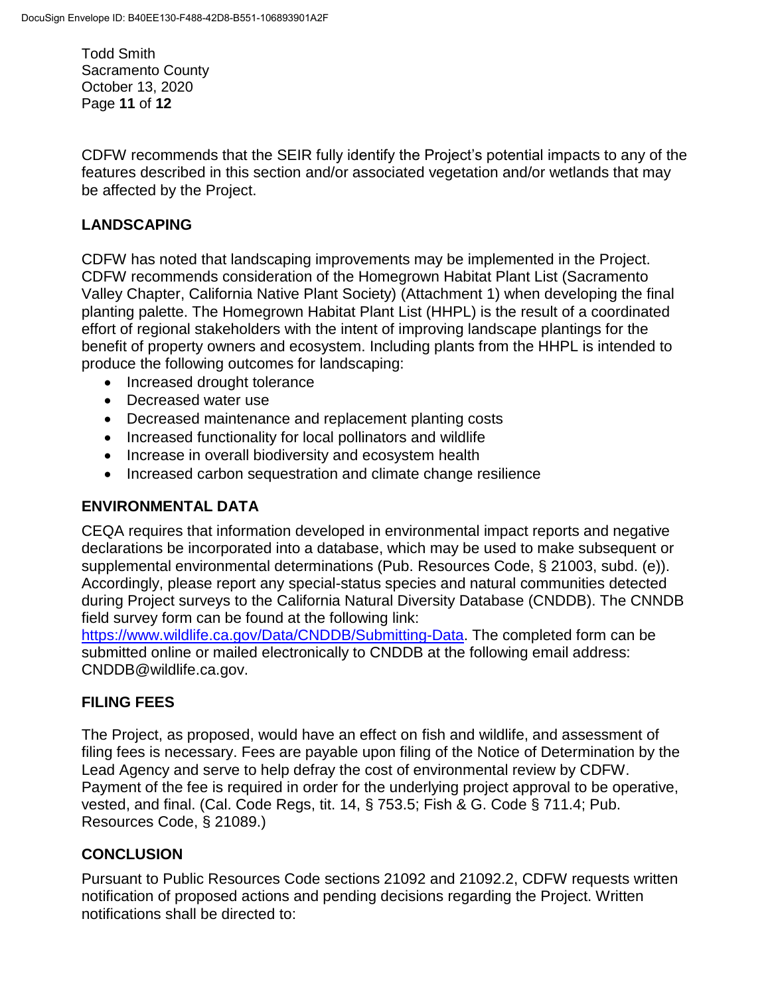Todd Smith Sacramento County October 13, 2020 Page **11** of **12**

CDFW recommends that the SEIR fully identify the Project's potential impacts to any of the features described in this section and/or associated vegetation and/or wetlands that may be affected by the Project.

### **LANDSCAPING**

CDFW has noted that landscaping improvements may be implemented in the Project. CDFW recommends consideration of the Homegrown Habitat Plant List (Sacramento Valley Chapter, California Native Plant Society) (Attachment 1) when developing the final planting palette. The Homegrown Habitat Plant List (HHPL) is the result of a coordinated effort of regional stakeholders with the intent of improving landscape plantings for the benefit of property owners and ecosystem. Including plants from the HHPL is intended to produce the following outcomes for landscaping:

- Increased drought tolerance
- Decreased water use
- Decreased maintenance and replacement planting costs
- Increased functionality for local pollinators and wildlife
- Increase in overall biodiversity and ecosystem health
- Increased carbon sequestration and climate change resilience

#### **ENVIRONMENTAL DATA**

CEQA requires that information developed in environmental impact reports and negative declarations be incorporated into a database, which may be used to make subsequent or supplemental environmental determinations (Pub. Resources Code, § 21003, subd. (e)). Accordingly, please report any special-status species and natural communities detected during Project surveys to the California Natural Diversity Database (CNDDB). The CNNDB field survey form can be found at the following link:

https://www.wildlife.ca.gov/Data/CNDDB/Submitting-Data. The completed form can be submitted online or mailed electronically to CNDDB at the following email address: CNDDB@wildlife.ca.gov.

#### **FILING FEES**

The Project, as proposed, would have an effect on fish and wildlife, and assessment of filing fees is necessary. Fees are payable upon filing of the Notice of Determination by the Lead Agency and serve to help defray the cost of environmental review by CDFW. Payment of the fee is required in order for the underlying project approval to be operative, vested, and final. (Cal. Code Regs, tit. 14, § 753.5; Fish & G. Code § 711.4; Pub. Resources Code, § 21089.)

#### **CONCLUSION**

Pursuant to Public Resources Code sections 21092 and 21092.2, CDFW requests written notification of proposed actions and pending decisions regarding the Project. Written notifications shall be directed to: